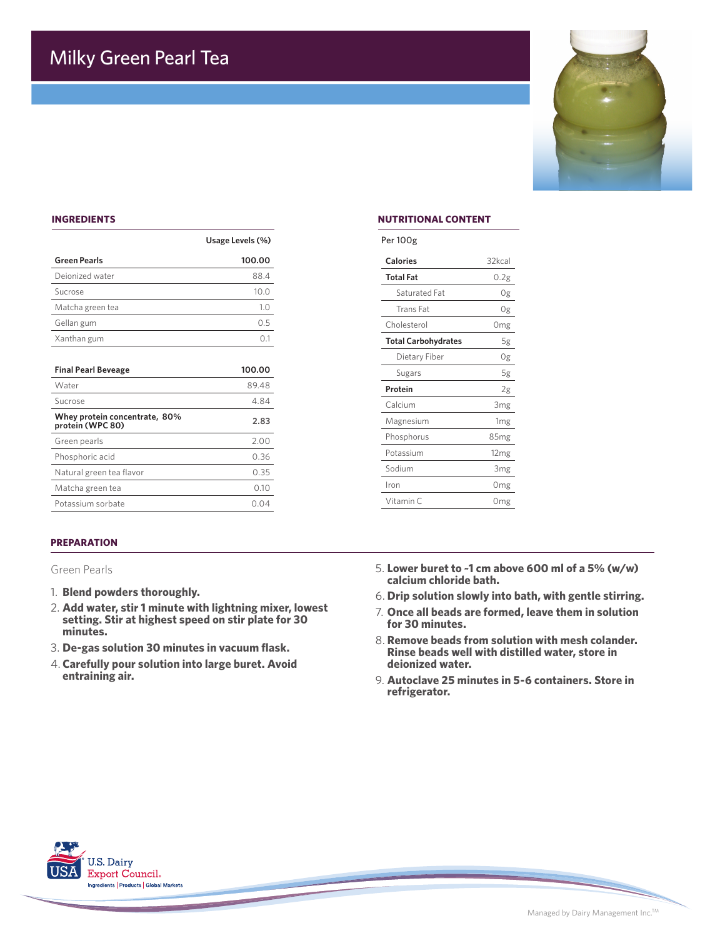

## **INGREDIENTS**

|                                                   | Usage Levels (%) | Per 100g         |
|---------------------------------------------------|------------------|------------------|
| <b>Green Pearls</b>                               | 100.00           | <b>Calories</b>  |
| Deionized water                                   | 88.4             | <b>Total Fat</b> |
| Sucrose                                           | 10.0             | Satura           |
| Matcha green tea                                  | 1.0              | Trans            |
| Gellan gum                                        | 0.5              | Choleste         |
| Xanthan gum                                       | 0.1              | <b>Total Ca</b>  |
|                                                   |                  | Dieta            |
| <b>Final Pearl Beveage</b>                        | 100.00           | Sugar            |
| Water                                             | 89.48            | Protein          |
| Sucrose                                           | 4.84             | Calcium          |
| Whey protein concentrate, 80%<br>protein (WPC 80) | 2.83             | Magnesi          |
| Green pearls                                      | 2.00             | Phospho          |
| Phosphoric acid                                   | 0.36             | Potassiu         |
| Natural green tea flavor                          | 0.35             | Sodium           |
| Matcha green tea                                  | 0.10             | Iron             |
| Potassium sorbate                                 | 0.04             | Vitamin          |

#### **PREPARATION**

Green Pearls

- 1. **Blend powders thoroughly.**
- 2. **Add water, stir 1 minute with lightning mixer, lowest setting. Stir at highest speed on stir plate for 30 minutes.**
- 3. **De-gas solution 30 minutes in vacuum flask.**
- 4. **Carefully pour solution into large buret. Avoid entraining air.**

### **NUTRITIONAL CONTENT**

| Per 100g                   |                  |
|----------------------------|------------------|
| <b>Calories</b>            | 32kcal           |
| <b>Total Fat</b>           | 0.2g             |
| Saturated Fat              | 0g               |
| Trans Fat                  | 0g               |
| Cholesterol                | 0 <sub>mg</sub>  |
| <b>Total Carbohydrates</b> | 5g               |
| Dietary Fiber              | 0g               |
| Sugars                     | 5g               |
| Protein                    | 2g               |
| Calcium                    | 3 <sub>mg</sub>  |
| Magnesium                  | 1 <sub>mg</sub>  |
| Phosphorus                 | 85 <sub>mg</sub> |
| Potassium                  | 12 <sub>mg</sub> |
| Sodium                     | 3 <sub>mg</sub>  |
| Iron                       | Omg              |
| Vitamin <sub>C</sub>       | Omg              |

- 5. **Lower buret to ~1 cm above 600 ml of a 5% (w/w) calcium chloride bath.**
- 6. **Drip solution slowly into bath, with gentle stirring.**
- 7. **Once all beads are formed, leave them in solution for 30 minutes.**
- 8. **Remove beads from solution with mesh colander. Rinse beads well with distilled water, store in deionized water.**
- 9. **Autoclave 25 minutes in 5-6 containers. Store in refrigerator.**